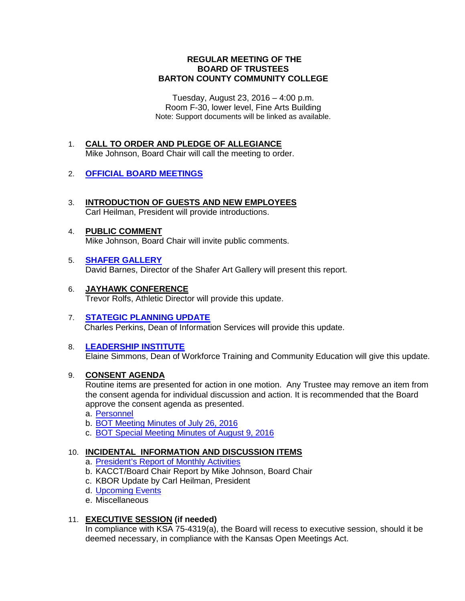## **REGULAR MEETING OF THE BOARD OF TRUSTEES BARTON COUNTY COMMUNITY COLLEGE**

Tuesday, August 23, 2016 – 4:00 p.m. Room F-30, lower level, Fine Arts Building Note: Support documents will be linked as available.

1. **CALL TO ORDER AND PLEDGE OF ALLEGIANCE** Mike Johnson, Board Chair will call the meeting to order.

# 2. **[OFFICIAL BOARD MEETINGS](http://docs.bartonccc.edu/trustees/meetings/fy1516/201508/Official%20Board%20Meetings.pdf)**

- 3. **INTRODUCTION OF GUESTS AND NEW EMPLOYEES** Carl Heilman, President will provide introductions.
- 4. **PUBLIC COMMENT** Mike Johnson, Board Chair will invite public comments.
- 5. **[SHAFER GALLERY](http://docs.bartonccc.edu/trustees/meetings/fy1617/201608/gallery%20year%202015-2016%20summary%20document%20(2).pdf)** David Barnes, Director of the Shafer Art Gallery will present this report.
- 6. **JAYHAWK CONFERENCE** Trevor Rolfs, Athletic Director will provide this update.
- 7. **[STATEGIC PLANNING UPDATE](http://docs.bartonccc.edu/trustees/meetings/fy1617/201608/BoardReportAugust2016.pdf)** Charles Perkins, Dean of Information Services will provide this update.

# 8. **[LEADERSHIP INSTITUTE](http://docs.bartonccc.edu/trustees/meetings/fy1617/201608/Board%20Summary%20(8-23-16).pdf)**

Elaine Simmons, Dean of Workforce Training and Community Education will give this update.

### 9. **CONSENT AGENDA**

Routine items are presented for action in one motion. Any Trustee may remove an item from the consent agenda for individual discussion and action. It is recommended that the Board approve the consent agenda as presented.

- a. [Personnel](http://docs.bartonccc.edu/trustees/meetings/fy1617/201608/Personnel%2007.26.16-08.23.16.pdf)
- b. [BOT Meeting Minutes of July 26, 2016](http://docs.bartonccc.edu/trustees/meetings/fy1617/201608/BOT%20Minutes%2007.26.16.pdf)
- c. [BOT Special Meeting Minutes of August 9, 2016](http://docs.bartonccc.edu/trustees/meetings/fy1617/201608/BOT%20Minutes%2008.09.16special.pdf)

## 10. **INCIDENTAL INFORMATION AND DISCUSSION ITEMS**

- a. [President's Report of Monthly Activities](http://docs.bartonccc.edu/trustees/meetings/fy1617/201608/President%20Activities%20July%2016.pdf)
- b. KACCT/Board Chair Report by Mike Johnson, Board Chair
- c. KBOR Update by Carl Heilman, President
- d. [Upcoming Events](http://docs.bartonccc.edu/trustees/meetings/fy1617/201608/Upcoming%20Board%20Events.pdf)
- e. Miscellaneous

### 11. **EXECUTIVE SESSION (if needed)**

In compliance with KSA 75-4319(a), the Board will recess to executive session, should it be deemed necessary, in compliance with the Kansas Open Meetings Act.